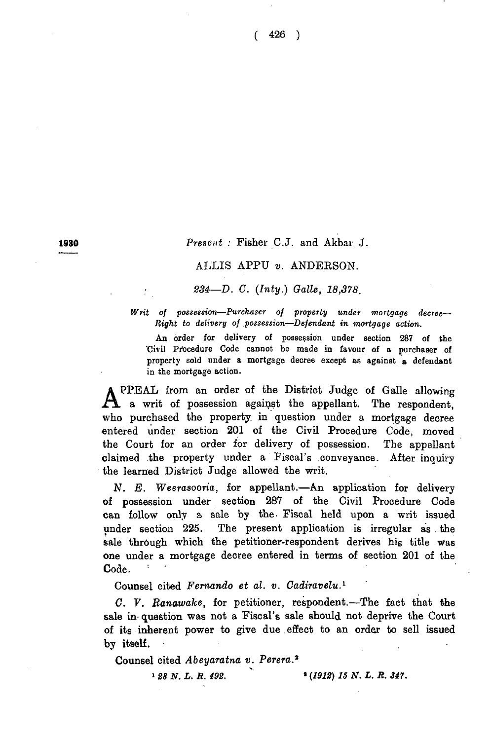**1830** *Present :* Fisher C.J. and Akbar J.

## ALLIS APPU *v.* ANDERSON.

*234—D. C.* (*Inty.) Galle, 18,378.*

*Writ of possession—Purchaser of property under mortgage decree*— *Right to delivery of possession—Defendant in mortgage action.*

An order for delivery of possession under section 287 of the Civil Procedure Code cannot be made in favour of a purchaser of property sold under a mortgage decree except as against a defendant in the mortgage action.

PPEAL from an order of the District Judge of Galle allowing a writ of possession against the appellant. The respondent, who purchased the property, in question under a mortgage decree entered under section 201 of the Civil Procedure Code, moved the Court for an order for delivery of possession. The appellant claimed the property under a Fiscal's conveyance. After inquiry the learned District Judge allowed the writ.

*N. E. Weera*sooria, for appellant.— An application for delivery of possession under section 287 of the Civil Procedure Code can follow only a sale by the, Fiscal held upon a writ issued under section 225. The present application is irregular as the sale through which the petitioner-respondent derives his title was one under a mortgage decree entered in terms of section 201 of the Code.

Counsel cited *Fernando et al. v. Cadiravelu.1*

*C. V. Banawake,* for petitioner, respondent.—The fact that the sale in- question was not a Fiscal's sale should not deprive the Court of its inherent power to give due effect to an order to sell issued by itself.

Counsel cited *Abeyaratna v. Perera.2*

» *28 N. L. R. 492. 2 (1912) 15 N. L. R. 347.*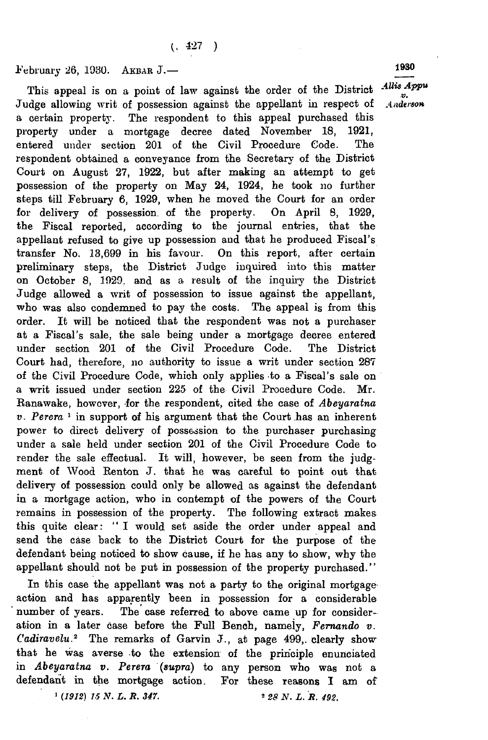February 26, 1930. Akbar J.—

This appeal is on a point of law against the order of the District Judge allowing writ of possession against the appellant in respect of a certain property. The respondent to this appeal purchased this<br>property under a mortgage decree dated November 18, 1921. property under a mortgage decree dated November 18, entered under section 201 of the Civil Procedure Code. The respondent obtained a conveyance from the Secretary of the District Court on August 27, 1922, but after making an attempt to get possession of the property on May 24, 1924, he took no further steps till February 6, 1929, when he moved the Court for an order for delivery of possession, of the property. On April 8, 1929, the Fiscal reported, according to the journal entries, that the appellant refused to give up possession and that he produced Fiscal's transfer No. 13,699 in his favour. On this report, after certain preliminary steps, the District Judge inquired into this matter on October 8, 1929. and as a result of the inquiry the District Judge allowed a writ of possession to issue against the appellant, who was also condemned to pay the costs. The appeal is from this order. It will be noticed that the respondent was not a purchaser at a Fiscal's sale, the sale being under a mortgage decree entered under section 201 of the Civil Procedure Code. The District Court had, therefore, no authority to issue a writ under section 287 of the Civil Procedure Code, which only applies to a Fiscal's sale on a writ issued under section 225 of the Civil Procedure Code. Mr. Ranawake, however, for the respondent, cited the case of *Abeyaratna v . Perera* 1 in support of his argument that the Court has an inherent power to direct delivery of possession to the purchaser purchasing under a sale held under section 201 of the Civil Procedure Code to render the sale effectual. It will, however, be seen from the judgment of Wood Renton J. that he was careful to point out that delivery of possession could only be allowed as against the defendant in a mortgage action, who in contempt of the powers of the Court remains in possession of the property. The following extract makes this quite clear: " I would set aside the order under appeal and send the case back to the District Court for the purpose of the defendant being noticed to show cause, if he has any to show, why the appellant should not be put in possession of the property purchased."

In this case the appellant was not a party to the original mortgage action and has apparently been in possession for a considerable number of years. The case referred to above came up for consideration in a later case before the Full Bench, namely, *Fernando v. Cadiravelu.2* The remarks of Garvin J., at page 499,. clearly show that he was averse to the extension of the principle enunciated in *Abeyaratna v. Perera* (*supra*) to any person who was not a defendant in the mortgage action. For these reasons I am of 1 *(1912) 15 N . L. R. 347.* » *28 N . L. R. 492.*

*AUis A ppu v. Anderson*

1930